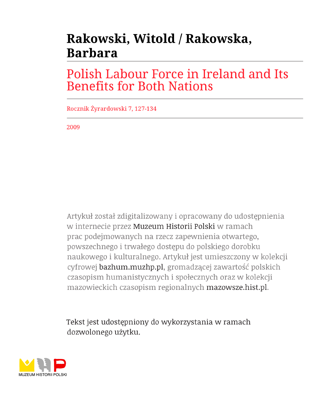# Rakowski, Witold / Rakowska, **Barbara**

## **Polish Labour Force in Ireland and Its Benefits for Both Nations**

Rocznik Żyrardowski 7, 127-134

2009

Artykuł został zdigitalizowany i opracowany do udostępnienia w internecie przez Muzeum Historii Polski w ramach prac podejmowanych na rzecz zapewnienia otwartego, powszechnego i trwałego dostępu do polskiego dorobku naukowego i kulturalnego. Artykuł jest umieszczony w kolekcji cyfrowej bazhum.muzhp.pl, gromadzącej zawartość polskich czasopism humanistycznych i społecznych oraz w kolekcji mazowieckich czasopism regionalnych mazowsze.hist.pl.

Tekst jest udostępniony do wykorzystania w ramach dozwolonego użytku.

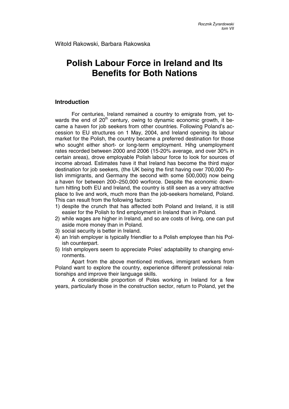### **Polish Labour Force in Ireland and Its Benefits for Both Nations**

#### **Introduction**

For centuries, Ireland remained a country to emigrate from, yet towards the end of  $20<sup>th</sup>$  century, owing to dynamic economic growth, it became a haven for job seekers from other countries. Following Poland's accession to EU structures on 1 May, 2004, and Ireland opening its labour market for the Polish, the country became a preferred destination for those who sought either short- or long-term employment. Hihg unemployment rates recorded between 2000 and 2006 (15-20% average, and over 30% in certain areas), drove employable Polish labour force to look for sources of income abroad. Estimates have it that Ireland has become the third major destination for job seekers, (the UK being the first having over 700,000 Polish immigrants, and Germany the second with some 500,000) now being a haven for between 200–250,000 worforce. Despite the economic downturn hitting both EU and Ireland, the country is still seen as a very attractive place to live and work, much more than the job-seekers homeland, Poland. This can result from the following factors:

- 1) despite the crunch that has affected both Poland and Ireland, it is still easier for the Polish to find employment in Ireland than in Poland.
- 2) while wages are higher in Ireland, and so are costs of living, one can put aside more money than in Poland.
- 3) social security is better in Ireland.
- 4) an Irish employer is typically friendlier to a Polish employee than his Polish counterpart.
- 5) Irish employers seem to appreciate Poles' adaptability to changing environments.

Apart from the above mentioned motives, immigrant workers from Poland want to explore the country, experience different professional relationships and improve their language skills.

A considerable proportion of Poles working in Ireland for a few years, particularly those in the construction sector, return to Poland, yet the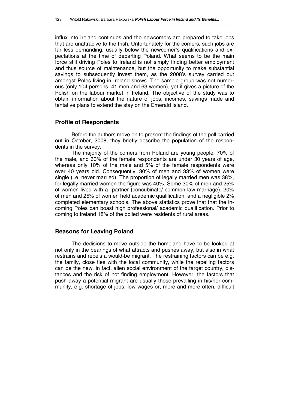influx into Ireland continues and the newcomers are prepared to take jobs that are unattracive to the Irish. Unfortunately for the comers, such jobs are far less demanding, usually below the newcomer's qualifications and expectations at the time of departing Poland. What seems to be the main force still driving Poles to Ireland is not simply finding better employment and thus source of maintenance, but the opportunity to make substantial savings to subsequently invest them, as the 2008's survey carried out amongst Poles living in Ireland shows. The sample group was not numerous (only 104 persons, 41 men and 63 women), yet it gives a picture of the Polish on the labour market in Ireland. The objective of the study was to obtain information about the nature of jobs, incomes, savings made and tentative plans to extend the stay on the Emerald Island.

#### **Profile of Respondents**

Before the authors move on to present the findings of the poll carried out in October, 2008, they briefly describe the population of the respondents in the survey.

The majority of the comers from Poland are young people: 70% of the male, and 60% of the female respondents are under 30 years of age, whereas only 10% of the male and 5% of the female respondents were over 40 years old. Consequently, 30% of men and 33% of women were single (i.e. never married). The proportion of legally married men was 38%, for legally married women the figure was 40%. Some 30% of men and 25% of women lived with a partner (concubinate/ common law marriage). 20% of men and 25% of women held academic qualification, and a negligible 2% completed elementary schools. The above statistics prove that that the incoming Poles can boast high professional/ academic qualification. Prior to coming to Ireland 18% of the polled were residents of rural areas.

#### **Reasons for Leaving Poland**

The dedisions to move outside the homeland have to be looked at not only in the bearings of what attracts and pushes away, but also in what restrains and repels a would-be migrant. The restraining factors can be e.g. the family, close ties with the local community, while the repelling factors can be the new, in fact, alien social environment of the target country, distances and the risk of not finding employment. However, the factors that push away a potential migrant are usually those prevailing in his/her community, e.g. shortage of jobs, low wages or, more and more often, difficult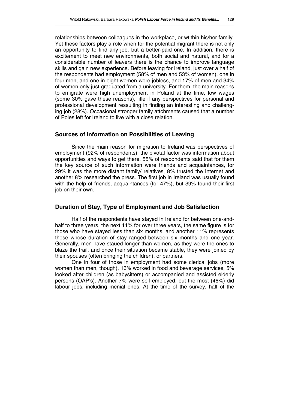relationships between colleagues in the workplace, or wtithin his/her family. Yet these factors play a role when for the potential migrant there is not only an opportunity to find any job, but a better-paid one. In addition, there is excitement to meet new environments, both social and natural, and for a considerable number of leavers there is the chance to improve language skills and gain new experience. Before leaving for Ireland, just over a half of the respondents had employment (58% of men and 53% of women), one in four men, and one in eight women were jobless, and 17% of men and 34% of women only just graduated from a university. For them, the main reasons to emigrate were high unemployment in Poland at the time, low wages (some 30% gave these reasons), litle if any perspectives for personal and professional development ressulting in finding an interesting and challenging job (28%). Occasional stronger family attchments caused that a number of Poles left for Ireland to live with a close relation.

#### **Sources of Information on Possibilities of Leaving**

Since the main reason for migration to Ireland was perspectives of employment (92% of respondents), the pivotal factor was information about opportunities and ways to get there. 55% of respondents said that for them the key source of such information were friends and acquaintances, for 29% it was the more distant family/ relatives, 8% trusted the Internet and another 8% researched the press. The first job in Ireland was usually found with the help of friends, acquaintances (for 47%), but 39% found their first job on their own.

#### **Duration of Stay, Type of Employment and Job Satisfaction**

Half of the respondents have stayed in Ireland for between one-andhalf to three years, the next 11% for over three years, the same figure is for those who have stayed less than six months, and another 11% represents those whose duration of stay ranged between six months and one year. Generally, men have staued longer than women, as they were the ones to blaze the trail, and once their situation became stable, they were joined by their spouses (often bringing the children), or partners.

One in four of those in employment had some clerical jobs (more women than men, though), 16% worked in food and beverage services, 5% looked after children (as babysitters) or accompanied and assisted elderly persons (OAP's). Another 7% were self-employed, but the most (46%) did labour jobs, including menial ones. At the time of the survey, half of the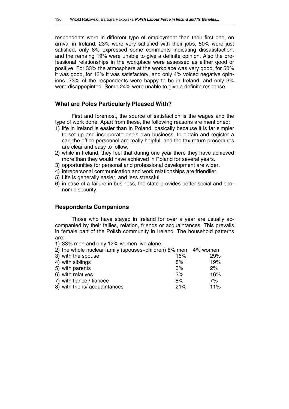respondents were in different type of employment than their first one, on arrival in Ireland. 23% were very satisfied with their jobs, 50% were just satisfied, only 8% expressed some comments indicating dissatisfaction, and the remaing 19% were unable to give a definite opinion. Also the professional relationships in the workplace were assessed as either good or positive. For 33% the atmosphere at the workplace was very good, for 50% it was good, for 13% it was satisfactory, and only 4% voiced negative opinions. 73% of the respondents were happy to be in Ireland, and only 3% were disappopinted. Some 24% were unable to give a definite response.

#### **What are Poles Particularly Pleased With?**

First and foremost, the source of satisfaction is the wages and the type of work done. Apart from these, the following reasons are mentioned:

- 1) life in Ireland is easier than in Poland, basically because it is far simpler to set up and incorporate one's own business, to obtain and register a car; the office personnel are really helpful, and the tax return procedures are clear and easy to follow.
- 2) while in Ireland, they feel that during one year there they have achieved more than they would have achieved in Poland for several years.
- 3) opportunities for personal and professional development are wider.
- 4) intrepersonal communication and work relationships are friendlier.
- 5) Life is generally easier, and less stressful.
- 6) in case of a failure in business, the state provides better social and economic security.

#### **Respondents Companions**

Those who have stayed in Ireland for over a year are usually accompanied by their failies, relation, friends or acquaintances. This prevails in female part of the Polish community in Ireland. The household patterns are:

1) 33% men and only 12% women live alone.

| 2) the whole nuclear family (spouses+children) 8% men 4% women |     |       |
|----------------------------------------------------------------|-----|-------|
| 3) with the spouse                                             | 16% | 29%   |
| 4) with siblings                                               | 8%  | 19%   |
| 5) with parents                                                | 3%  | $2\%$ |
| 6) with relatives                                              | 3%  | 16%   |
| 7) with fiance / fiancée                                       | 8%  | 7%    |
| 8) with friens/ acquaintances                                  | 21% | 11%   |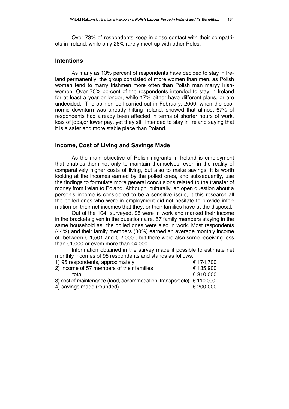Over 73% of respondents keep in close contact with their compatriots in Ireland, while only 26% rarely meet up with other Poles.

#### **Intentions**

As many as 13% percent of respondents have decided to stay in Ireland permanently; the group consisted of more women than men, as Polish women tend to marry Irishmen more often than Polish man maryy Irishwomen. Over 70% percent of the respondents intended to stay in Ireland for at least a year or longer, while 17% either have different plans, or are undecided. The opinion poll carried out in February, 2009, when the economic downturn was already hitting Ireland, showed that almost 67% of respondents had already been affected in terms of shorter hours of work, loss of jobs,or lower pay, yet they still intended to stay in Ireland saying that it is a safer and more stable place than Poland.

#### **Income, Cost of Living and Savings Made**

As the main objective of Polish migrants in Ireland is employment that enables them not only to maintain themselves, even in the reality of comparatively higher costs of living, but also to make savings, it is worth looking at the incomes earned by the polled ones, and subsequently, use the findings to formulate more general conclusions related to the transfer of money from Irelan to Poland. Although, culturally, an open question about a person's income is considered to be a sensitive issue, it this research all the polled ones who were in employment did not hesitate to provide information on their net incomes that they, or their families have at the disposal.

Out of the 104 surveyed, 95 were in work and marked their income in the brackets given in the questionnaire. 57 family members staying in the same household as the polled ones were also in work. Most respondents (44%) and their family members (30%) earned an average monthly income of between  $\epsilon$  1,501 and  $\epsilon$  2,000, but there were also some receiving less than  $€1,000$  or evem more than  $€4,000$ .

Information obtained in the survey made it possible to estimate net monthly incomes of 95 respondents and stands as follows:

| 1) 95 respondents, approximately                                               | € 174,700 |
|--------------------------------------------------------------------------------|-----------|
| 2) income of 57 members of their families                                      | € 135,900 |
| total:                                                                         | € 310,000 |
| 3) cost of maintenance (food, accommodation, transport etc) $\epsilon$ 110,000 |           |
| 4) savings made (rounded)                                                      | € 200,000 |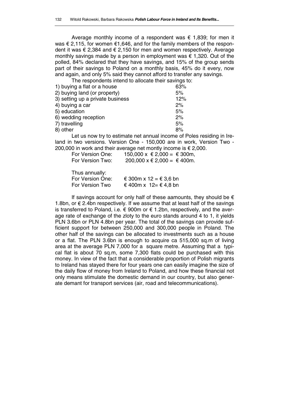Average monthly income of a respondent was  $\epsilon$  1,839; for men it was € 2,115, for women €1,646, and for the family members of the respondent it was € 2,384 and € 2,150 for men and women respectively. Average monthly savings made by a person in employment was  $\epsilon$  1,320. Out of the polled, 84% declared that they have savings, and 15% of the group sends part of their savings to Poland on a monthly basis, 45% do it every, now and again, and only 5% said they cannot afford to transfer any savings.

The respondents intend to allocate their savings to:

| 63% |
|-----|
| 5%  |
| 12% |
| 2%  |
| 5%  |
| 2%  |
| 5%  |
| 8%  |
|     |

Let us now try to estimate net annual income of Poles residing in Ireland in two versions. Version One - 150,000 are in work, Version Two - 200,000 in work and their average net montly income is  $\epsilon$  2,000.

| For Version One: | 150,000 x € 2,000 = € 300m, |
|------------------|-----------------------------|
| For Version Two: | 200,000 x € 2,000 = € 400m. |

| Thus annually:   |                        |
|------------------|------------------------|
| For Version One: | € 300m x 12 = € 3,6 bn |
| For Version Two  | € 400m x 12= € 4,8 bn  |

If savings account for only half of these aamounts, they should be  $\epsilon$ 1.8bn, or  $€$  2.4bn respectively. If we assume that at least half of the savings is transferred to Poland, i.e. € 900m or  $€ 1.2$ bn, respectively, and the average rate of exchange of the zloty to the euro stands around 4 to 1, it yields PLN 3.6bn or PLN 4.8bn per year. The total of the savings can provide sufficient support for between 250,000 and 300,000 people in Poland. The other half of the savings can be allocated to investments such as a house or a flat. The PLN 3.6bn is enough to acquire ca 515,000 sq.m of living area at the average PLN 7,000 for a square metre. Assuming that a typical flat is about 70 sq.m, some 7,300 flats could be purchased with this money. In view of the fact that a considerable proportion of Polish migrants to Ireland has stayed there for four years one can easily imagine the size of the daily flow of money from Ireland to Poland, and how these financial not only means stimulate the domestic demand in our country, but also generate demant for transport services (air, road and telecommunications).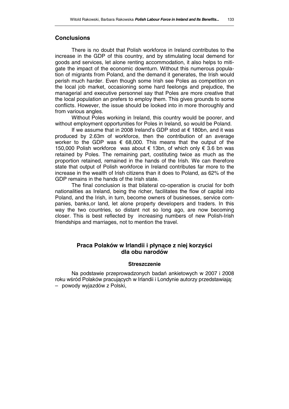#### **Conclusions**

There is no doubt that Polish workforce in Ireland contributes to the increase in the GDP of this country, and by stimulating local demend for goods and services, let alone renting accommodation, it also helps to mitigate the impact of the economic downturn. Without this numerous population of migrants from Poland, and the demand it generates, the Irish would perish much harder. Even though some Irish see Poles as competition on the local job market, occasioning some hard feelongs and prejudice, the managerial and executive personnel say that Poles are more creative that the local population an prefers to employ them. This gives grounds to some conflicts. However, the issue should be looked into in more thoroughly and from various angles.

Without Poles working in Ireland, this country would be poorer, and without employment opportunities for Poles in Ireland, so would be Poland.

If we assume that in 2008 Ireland's GDP stod at € 180bn, and it was produced by 2.63m of workforce, then the contribution of an average worker to the GDP was  $\epsilon$  68,000. This means that the output of the 150,000 Polish workforce was about € 13bn, of which only € 3.6 bn was retained by Poles. The remaining part, costituting twice as much as the proportion retained, remained in the hands of the Irish. We can therefore state that output of Polish workforce in Ireland contributes far more to the increase in the wealth of Irish citizens than it does to Poland, as 62% of the GDP remains in the hands of the Irish state.

The final conclusion is that bilateral co-operation is crucial for both nationalities as Ireland, being the richer, facilitates the flow of capital into Poland, and the Irish, in turn, become owners of businesses, service companies, banks,or land, let alone property developers and traders. In this way the two countries, so distant not so long ago, are now becoming closer. This is best reflected by increasing numbers of new Polish-Irish friendships and marriages, not to mention the travel.

#### **Praca Polaków w Irlandii i płynące z niej korzyści dla obu narodów**

#### **Streszczenie**

Na podstawie przeprowadzonych badań ankietowych w 2007 i 2008 roku wśród Polaków pracujących w Irlandii i Londynie autorzy przedstawiają: – powody wyjazdów z Polski,